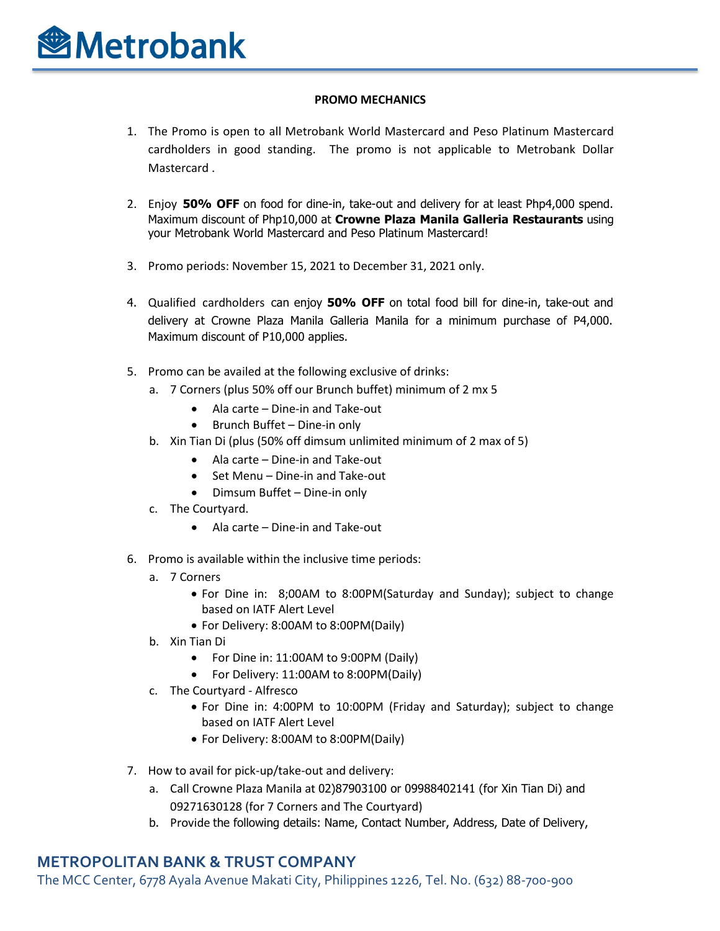#### **PROMO MECHANICS**

- 1. The Promo is open to all Metrobank World Mastercard and Peso Platinum Mastercard cardholders in good standing. The promo is not applicable to Metrobank Dollar Mastercard .
- 2. Enjoy **50% OFF** on food for dine-in, take-out and delivery for at least Php4,000 spend. Maximum discount of Php10,000 at **Crowne Plaza Manila Galleria Restaurants** using your Metrobank World Mastercard and Peso Platinum Mastercard!
- 3. Promo periods: November 15, 2021 to December 31, 2021 only.
- 4. Qualified cardholders can enjoy **50% OFF** on total food bill for dine-in, take-out and delivery at Crowne Plaza Manila Galleria Manila for a minimum purchase of P4,000. Maximum discount of P10,000 applies.
- 5. Promo can be availed at the following exclusive of drinks:
	- a. 7 Corners (plus 50% off our Brunch buffet) minimum of 2 mx 5
		- Ala carte Dine-in and Take-out
		- Brunch Buffet Dine-in only
	- b. Xin Tian Di (plus (50% off dimsum unlimited minimum of 2 max of 5)
		- Ala carte Dine-in and Take-out
		- Set Menu Dine-in and Take-out
		- Dimsum Buffet Dine-in only
	- c. The Courtyard.
		- Ala carte Dine-in and Take-out
- 6. Promo is available within the inclusive time periods:
	- a. 7 Corners
		- For Dine in: 8;00AM to 8:00PM(Saturday and Sunday); subject to change based on IATF Alert Level
		- For Delivery: 8:00AM to 8:00PM(Daily)
	- b. Xin Tian Di
		- For Dine in: 11:00AM to 9:00PM (Daily)
		- For Delivery: 11:00AM to 8:00PM(Daily)
	- c. The Courtyard Alfresco
		- For Dine in: 4:00PM to 10:00PM (Friday and Saturday); subject to change based on IATF Alert Level
		- For Delivery: 8:00AM to 8:00PM(Daily)
- 7. How to avail for pick-up/take-out and delivery:
	- a. Call Crowne Plaza Manila at 02)87903100 or 09988402141 (for Xin Tian Di) and 09271630128 (for 7 Corners and The Courtyard)
	- b. Provide the following details: Name, Contact Number, Address, Date of Delivery,

#### **METROPOLITAN BANK & TRUST COMPANY**

The MCC Center, 6778 Ayala Avenue Makati City, Philippines 1226, Tel. No. (632) 88-700-900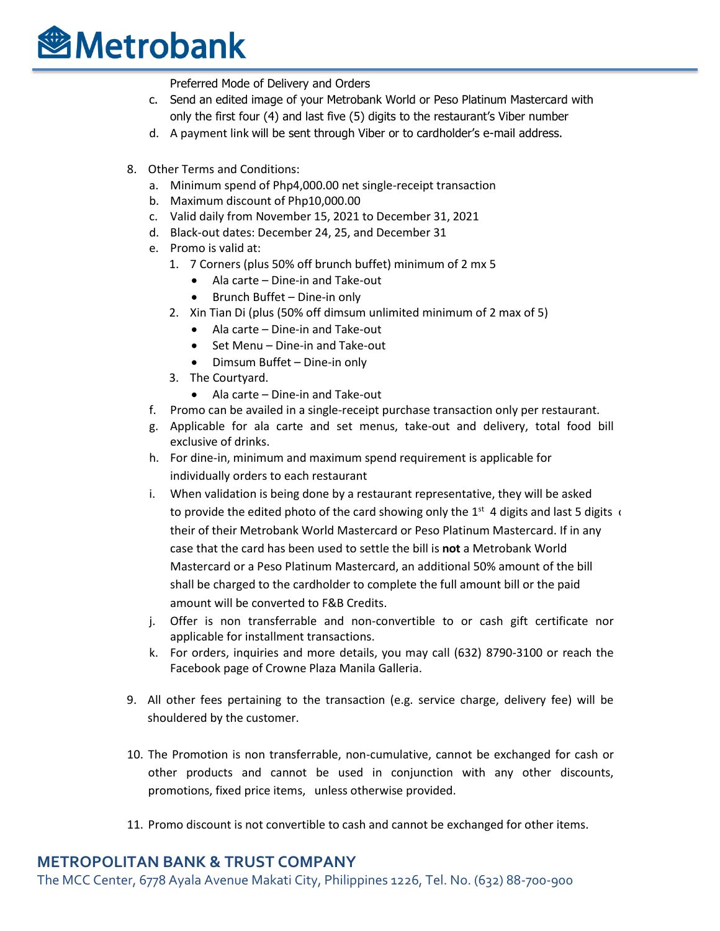## **<sup><sup></sup>**Metrobank</sub></sup>

Preferred Mode of Delivery and Orders

- c. Send an edited image of your Metrobank World or Peso Platinum Mastercard with only the first four (4) and last five (5) digits to the restaurant's Viber number
- d. A payment link will be sent through Viber or to cardholder's e-mail address.
- 8. Other Terms and Conditions:
	- a. Minimum spend of Php4,000.00 net single-receipt transaction
	- b. Maximum discount of Php10,000.00
	- c. Valid daily from November 15, 2021 to December 31, 2021
	- d. Black-out dates: December 24, 25, and December 31
	- e. Promo is valid at:
		- 1. 7 Corners (plus 50% off brunch buffet) minimum of 2 mx 5
			- Ala carte Dine-in and Take-out
			- Brunch Buffet Dine-in only
		- 2. Xin Tian Di (plus (50% off dimsum unlimited minimum of 2 max of 5)
			- Ala carte Dine-in and Take-out
			- Set Menu Dine-in and Take-out
			- Dimsum Buffet Dine-in only
		- 3. The Courtyard.
			- Ala carte Dine-in and Take-out
	- f. Promo can be availed in a single-receipt purchase transaction only per restaurant.
	- g. Applicable for ala carte and set menus, take-out and delivery, total food bill exclusive of drinks.
	- h. For dine-in, minimum and maximum spend requirement is applicable for individually orders to each restaurant
	- i. When validation is being done by a restaurant representative, they will be asked to provide the edited photo of the card showing only the  $1^{st}$  4 digits and last 5 digits  $\epsilon$ their of their Metrobank World Mastercard or Peso Platinum Mastercard. If in any case that the card has been used to settle the bill is **not** a Metrobank World Mastercard or a Peso Platinum Mastercard, an additional 50% amount of the bill shall be charged to the cardholder to complete the full amount bill or the paid amount will be converted to F&B Credits.
	- j. Offer is non transferrable and non-convertible to or cash gift certificate nor applicable for installment transactions.
	- k. For orders, inquiries and more details, you may call (632) 8790-3100 or reach the Facebook page of Crowne Plaza Manila Galleria.
- 9. All other fees pertaining to the transaction (e.g. service charge, delivery fee) will be shouldered by the customer.
- 10. The Promotion is non transferrable, non-cumulative, cannot be exchanged for cash or other products and cannot be used in conjunction with any other discounts, promotions, fixed price items, unless otherwise provided.
- 11. Promo discount is not convertible to cash and cannot be exchanged for other items.

### **METROPOLITAN BANK & TRUST COMPANY**

The MCC Center, 6778 Ayala Avenue Makati City, Philippines 1226, Tel. No. (632) 88-700-900